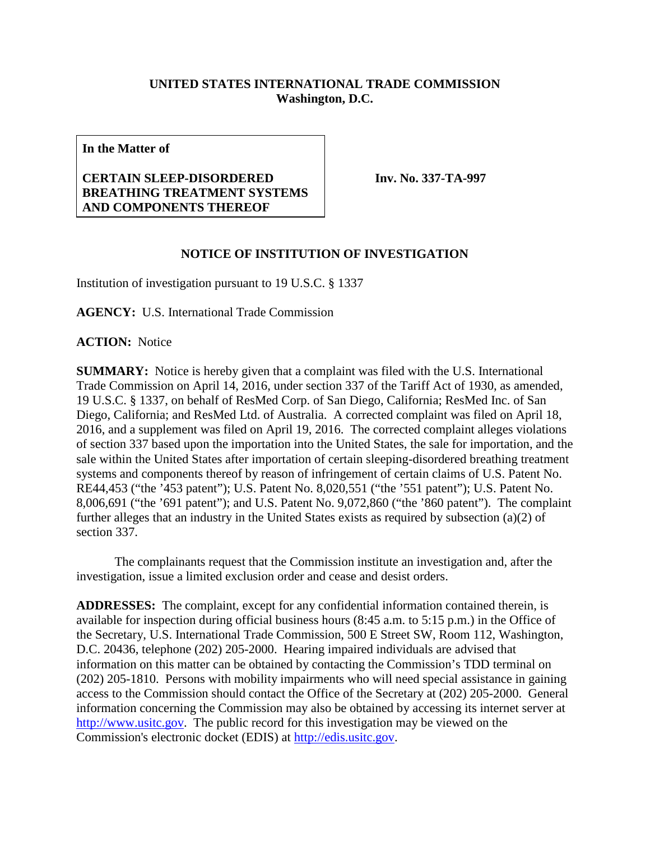## **UNITED STATES INTERNATIONAL TRADE COMMISSION Washington, D.C.**

**In the Matter of**

## **CERTAIN SLEEP-DISORDERED BREATHING TREATMENT SYSTEMS AND COMPONENTS THEREOF**

**Inv. No. 337-TA-997**

## **NOTICE OF INSTITUTION OF INVESTIGATION**

Institution of investigation pursuant to 19 U.S.C. § 1337

**AGENCY:** U.S. International Trade Commission

**ACTION:** Notice

**SUMMARY:** Notice is hereby given that a complaint was filed with the U.S. International Trade Commission on April 14, 2016, under section 337 of the Tariff Act of 1930, as amended, 19 U.S.C. § 1337, on behalf of ResMed Corp. of San Diego, California; ResMed Inc. of San Diego, California; and ResMed Ltd. of Australia. A corrected complaint was filed on April 18, 2016, and a supplement was filed on April 19, 2016. The corrected complaint alleges violations of section 337 based upon the importation into the United States, the sale for importation, and the sale within the United States after importation of certain sleeping-disordered breathing treatment systems and components thereof by reason of infringement of certain claims of U.S. Patent No. RE44,453 ("the '453 patent"); U.S. Patent No. 8,020,551 ("the '551 patent"); U.S. Patent No. 8,006,691 ("the '691 patent"); and U.S. Patent No. 9,072,860 ("the '860 patent"). The complaint further alleges that an industry in the United States exists as required by subsection (a)(2) of section 337.

The complainants request that the Commission institute an investigation and, after the investigation, issue a limited exclusion order and cease and desist orders.

**ADDRESSES:** The complaint, except for any confidential information contained therein, is available for inspection during official business hours (8:45 a.m. to 5:15 p.m.) in the Office of the Secretary, U.S. International Trade Commission, 500 E Street SW, Room 112, Washington, D.C. 20436, telephone (202) 205-2000. Hearing impaired individuals are advised that information on this matter can be obtained by contacting the Commission's TDD terminal on (202) 205-1810. Persons with mobility impairments who will need special assistance in gaining access to the Commission should contact the Office of the Secretary at (202) 205-2000. General information concerning the Commission may also be obtained by accessing its internet server at [http://www.usitc.gov.](http://www.usitc.gov/) The public record for this investigation may be viewed on the Commission's electronic docket (EDIS) at [http://edis.usitc.gov.](http://edis.usitc.gov/)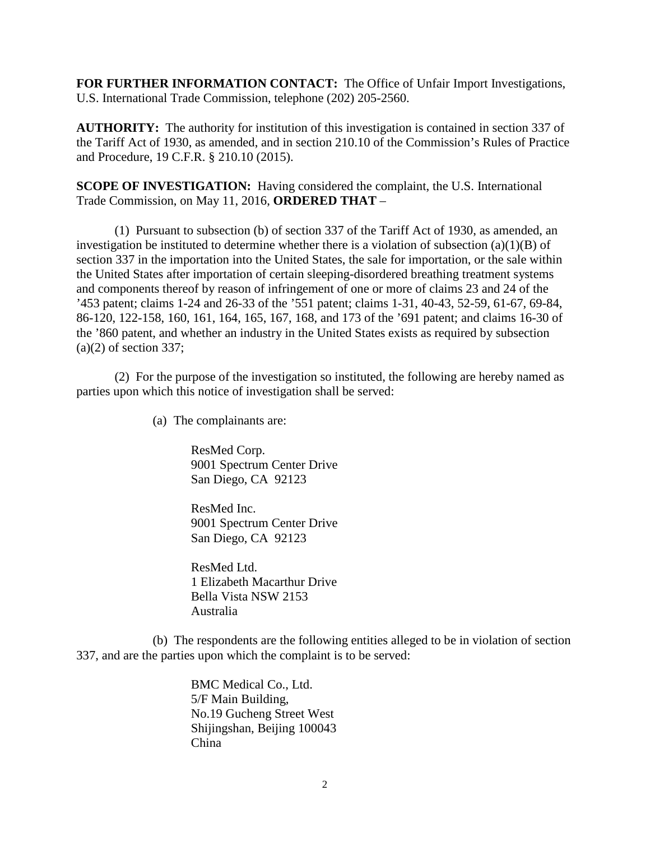**FOR FURTHER INFORMATION CONTACT:** The Office of Unfair Import Investigations, U.S. International Trade Commission, telephone (202) 205-2560.

**AUTHORITY:** The authority for institution of this investigation is contained in section 337 of the Tariff Act of 1930, as amended, and in section 210.10 of the Commission's Rules of Practice and Procedure, 19 C.F.R. § 210.10 (2015).

**SCOPE OF INVESTIGATION:** Having considered the complaint, the U.S. International Trade Commission, on May 11, 2016, **ORDERED THAT** –

(1) Pursuant to subsection (b) of section 337 of the Tariff Act of 1930, as amended, an investigation be instituted to determine whether there is a violation of subsection  $(a)(1)(B)$  of section 337 in the importation into the United States, the sale for importation, or the sale within the United States after importation of certain sleeping-disordered breathing treatment systems and components thereof by reason of infringement of one or more of claims 23 and 24 of the '453 patent; claims 1-24 and 26-33 of the '551 patent; claims 1-31, 40-43, 52-59, 61-67, 69-84, 86-120, 122-158, 160, 161, 164, 165, 167, 168, and 173 of the '691 patent; and claims 16-30 of the '860 patent, and whether an industry in the United States exists as required by subsection  $(a)(2)$  of section 337;

(2) For the purpose of the investigation so instituted, the following are hereby named as parties upon which this notice of investigation shall be served:

(a) The complainants are:

ResMed Corp. 9001 Spectrum Center Drive San Diego, CA 92123

ResMed Inc. 9001 Spectrum Center Drive San Diego, CA 92123

ResMed Ltd. 1 Elizabeth Macarthur Drive Bella Vista NSW 2153 Australia

(b) The respondents are the following entities alleged to be in violation of section 337, and are the parties upon which the complaint is to be served:

> BMC Medical Co., Ltd. 5/F Main Building, No.19 Gucheng Street West Shijingshan, Beijing 100043 China